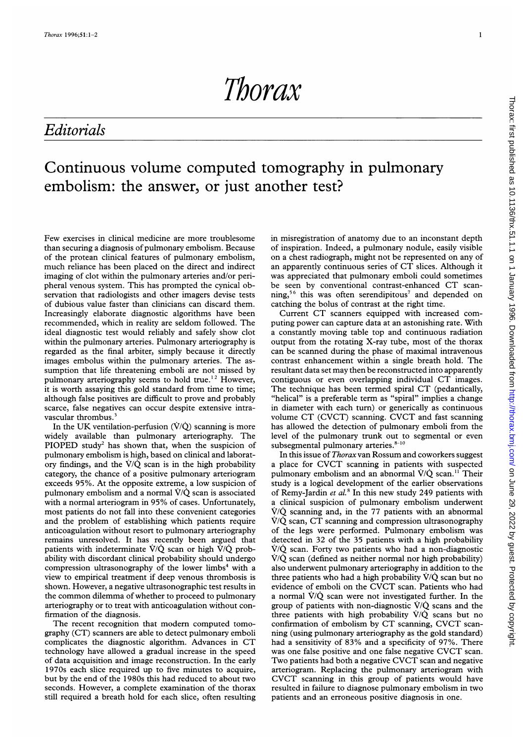Thorax

## Editorials

## Continuous volume computed tomography in pulmonary embolism: the answer, or just another test?

Few exercises in clinical medicine are more troublesome than securing a diagnosis of pulmonary embolism. Because of the protean clinical features of pulmonary embolism, much reliance has been placed on the direct and indirect imaging of clot within the pulmonary arteries and/or peripheral venous system. This has prompted the cynical observation that radiologists and other imagers devise tests of dubious value faster than clinicians can discard them. Increasingly elaborate diagnostic algorithms have been recommended, which in reality are seldom followed. The ideal diagnostic test would reliably and safely show clot within the pulmonary arteries. Pulmonary arteriography is regarded as the final arbiter, simply because it directly images embolus within the pulmonary arteries. The assumption that life threatening emboli are not missed by pulmonary arteriography seems to hold true.<sup>12</sup> However, it is worth assaying this gold standard from time to time; although false positives are difficult to prove and probably scarce, false negatives can occur despite extensive intravascular thrombus.<sup>3</sup>

In the UK ventilation-perfusion  $(\dot{V}/\dot{Q})$  scanning is more widely available than pulmonary arteriography. The PIOPED study<sup>2</sup> has shown that, when the suspicion of pulmonary embolism is high, based on clinical and laboratory findings, and the  $\dot{V}/\dot{Q}$  scan is in the high probability category, the chance of a positive pulmonary arteriogram exceeds 95%. At the opposite extreme, a low suspicion of pulmonary embolism and a normal  $\dot{V}/\dot{Q}$  scan is associated with <sup>a</sup> normal arteriogram in 95% of cases. Unfortunately, most patients do not fall into these convenient categories and the problem of establishing which patients require anticoagulation without resort to pulmonary arteriography remains unresolved. It has recently been argued that patients with indeterminate  $\dot{V}/\dot{Q}$  scan or high  $\dot{V}/\dot{Q}$  probability with discordant clinical probability should undergo compression ultrasonography of the lower limbs<sup>4</sup> with a view to empirical treatment if deep venous thrombosis is shown. However, a negative ultrasonographic test results in the common dilemma of whether to proceed to pulmonary arteriography or to treat with anticoagulation without confirmation of the diagnosis.

The recent recognition that modern computed tomography (CT) scanners are able to detect pulmonary emboli complicates the diagnostic algorithm. Advances in CT technology have allowed a gradual increase in the speed of data acquisition and image reconstruction. In the early 1970s each slice required up to five minutes to acquire, but by the end of the 1980s this had reduced to about two seconds. However, a complete examination of the thorax still required a breath hold for each slice, often resulting in misregistration of anatomy due to an inconstant depth of inspiration. Indeed, a pulmonary nodule, easily visible on a chest radiograph, might not be represented on any of an apparently continuous series of CT slices. Although it was appreciated that pulmonary emboli could sometimes be seen by conventional contrast-enhanced CT scanning,<sup>56</sup> this was often serendipitous<sup>7</sup> and depended on catching the bolus of contrast at the right time.

Current CT scanners equipped with increased computing power can capture data at an astonishing rate. With a constantly moving table top and continuous radiation output from the rotating X-ray tube, most of the thorax can be scanned during the phase of maximal intravenous contrast enhancement within a single breath hold. The resultant data set may then be reconstructed into apparently contiguous or even overlapping individual CT images. The technique has been termed spiral CT (pedantically, "helical" is a preferable term as "spiral" implies a change in diameter with each turn) or generically as continuous volume CT (CVCT) scanning. CVCT and fast scanning has allowed the detection of pulmonary emboli from the level of the pulmonary trunk out to segmental or even subsegmental pulmonary arteries. $8-10$ 

In this issue of Thorax van Rossum and coworkers suggest <sup>a</sup> place for CVCT scanning in patients with suspected pulmonary embolism and an abnormal  $\dot{V}/\dot{Q}$  scan.<sup>11</sup> Their study is a logical development of the earlier observations of Remy-Jardin et  $al$ <sup>8</sup>. In this new study 249 patients with a clinical suspicion of pulmonary embolism underwent  $\dot{V}/\dot{Q}$  scanning and, in the 77 patients with an abnormal  $\dot{V}/\dot{Q}$  scan, CT scanning and compression ultrasonography of the legs were performed. Pulmonary embolism was detected in 32 of the 35 patients with a high probability  $\dot{V}/\dot{Q}$  scan. Forty two patients who had a non-diagnostic  $\dot{V}/\dot{Q}$  scan (defined as neither normal nor high probability) also underwent pulmonary arteriography in addition to the three patients who had a high probability  $\dot{V}/\dot{Q}$  scan but no evidence of emboli on the CVCT scan. Patients who had <sup>a</sup> normal V/Q scan were not investigated further. In the group of patients with non-diagnostic  $\dot{V}/\dot{Q}$  scans and the three patients with high probability V/Q scans but no confirmation of embolism by CT scanning, CVCT scanning (using pulmonary arteriography as the gold standard) had <sup>a</sup> sensitivity of 83% and <sup>a</sup> specificity of 97%. There was one false positive and one false negative CVCT scan. Two patients had both <sup>a</sup> negative CVCT scan and negative arteriogram. Replacing the pulmonary arteriogram with CVCT scanning in this group of patients would have resulted in failure to diagnose pulmonary embolism in two patients and an erroneous positive diagnosis in one.

I